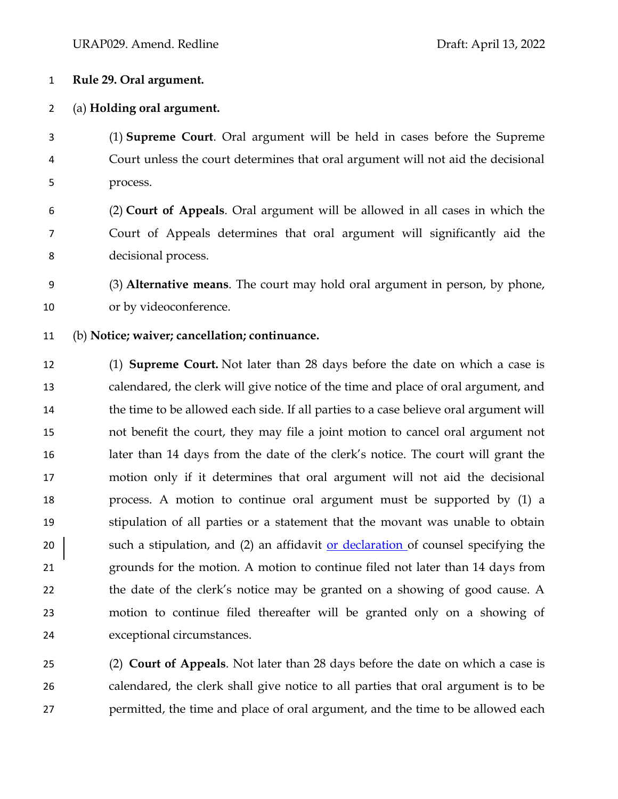## **Rule 29. Oral argument.**

## (a) **Holding oral argument.**

 (1) **Supreme Court**. Oral argument will be held in cases before the Supreme Court unless the court determines that oral argument will not aid the decisional process.

 (2) **Court of Appeals**. Oral argument will be allowed in all cases in which the Court of Appeals determines that oral argument will significantly aid the decisional process.

 (3) **Alternative means**. The court may hold oral argument in person, by phone, or by videoconference.

(b) **Notice; waiver; cancellation; continuance.**

 (1) **Supreme Court.** Not later than 28 days before the date on which a case is calendared, the clerk will give notice of the time and place of oral argument, and 14 the time to be allowed each side. If all parties to a case believe oral argument will not benefit the court, they may file a joint motion to cancel oral argument not later than 14 days from the date of the clerk's notice. The court will grant the motion only if it determines that oral argument will not aid the decisional process. A motion to continue oral argument must be supported by (1) a stipulation of all parties or a statement that the movant was unable to obtain 20 such a stipulation, and (2) an affidavit or declaration of counsel specifying the grounds for the motion. A motion to continue filed not later than 14 days from the date of the clerk's notice may be granted on a showing of good cause. A motion to continue filed thereafter will be granted only on a showing of exceptional circumstances.

 (2) **Court of Appeals**. Not later than 28 days before the date on which a case is calendared, the clerk shall give notice to all parties that oral argument is to be permitted, the time and place of oral argument, and the time to be allowed each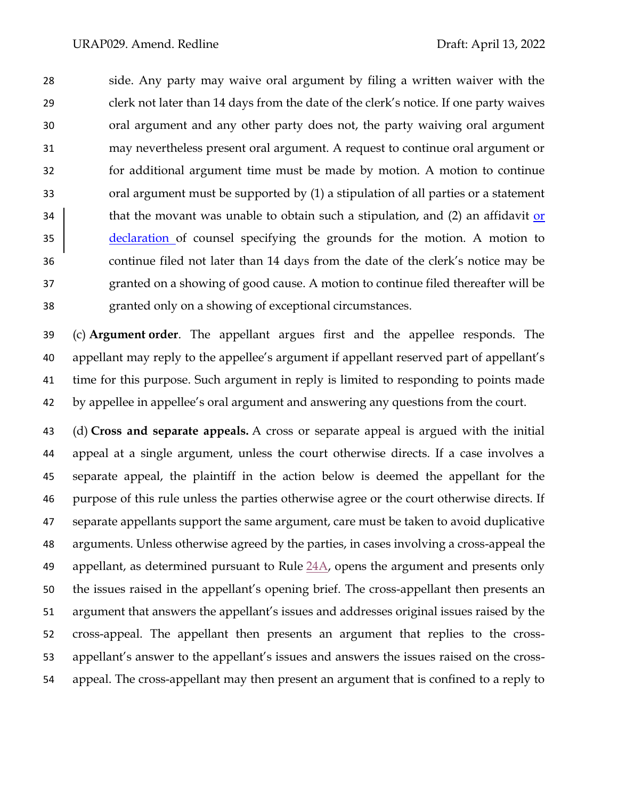side. Any party may waive oral argument by filing a written waiver with the clerk not later than 14 days from the date of the clerk's notice. If one party waives oral argument and any other party does not, the party waiving oral argument may nevertheless present oral argument. A request to continue oral argument or for additional argument time must be made by motion. A motion to continue oral argument must be supported by (1) a stipulation of all parties or a statement 34 that the movant was unable to obtain such a stipulation, and (2) an affidavit or declaration of counsel specifying the grounds for the motion. A motion to continue filed not later than 14 days from the date of the clerk's notice may be granted on a showing of good cause. A motion to continue filed thereafter will be granted only on a showing of exceptional circumstances.

 (c) **Argument order**. The appellant argues first and the appellee responds. The appellant may reply to the appellee's argument if appellant reserved part of appellant's time for this purpose. Such argument in reply is limited to responding to points made by appellee in appellee's oral argument and answering any questions from the court.

 (d) **Cross and separate appeals.** A cross or separate appeal is argued with the initial appeal at a single argument, unless the court otherwise directs. If a case involves a separate appeal, the plaintiff in the action below is deemed the appellant for the purpose of this rule unless the parties otherwise agree or the court otherwise directs. If separate appellants support the same argument, care must be taken to avoid duplicative arguments. Unless otherwise agreed by the parties, in cases involving a cross-appeal the 49 appellant, as determined pursuant to Rule  $24A$ , opens the argument and presents only the issues raised in the appellant's opening brief. The cross-appellant then presents an argument that answers the appellant's issues and addresses original issues raised by the cross-appeal. The appellant then presents an argument that replies to the cross- appellant's answer to the appellant's issues and answers the issues raised on the cross-appeal. The cross-appellant may then present an argument that is confined to a reply to